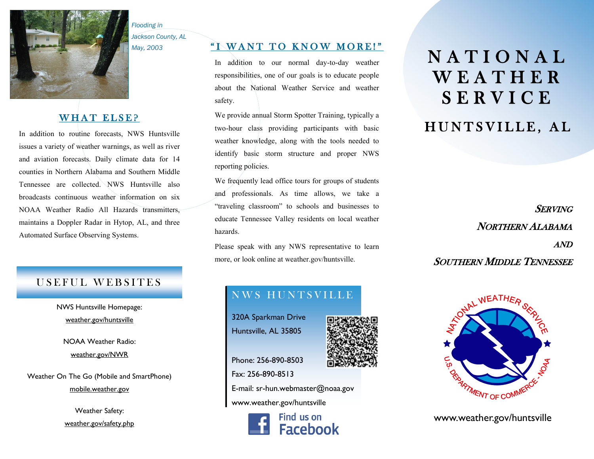

*Flooding in Jackson County, AL*

*May, 2003*

#### WHAT ELSE?

In addition to routine forecasts, NWS Huntsville issues a variety of weather warnings, as well as river and aviation forecasts. Daily climate data for 14 counties in Northern Alabama and Southern Middle Tennessee are collected. NWS Huntsville also broadcasts continuous weather information on six NOAA Weather Radio All Hazards transmitters, maintains a Doppler Radar in Hytop, AL, and three Automated Surface Observing Systems.

#### USEFUL WEBSITES

NWS Huntsville Homepage: weather.gov/huntsville

NOAA Weather Radio: weather.gov/NWR

Weather On The Go (Mobile and SmartPhone) mobile.weather.gov

> Weather Safety: weather.gov/safety.php

#### " I WANT TO KNOW MORE!"

In addition to our normal day-to-day weather responsibilities, one of our goals is to educate people about the National Weather Service and weather safety.

We provide annual Storm Spotter Training, typically a two-hour class providing participants with basic weather knowledge, along with the tools needed to identify basic storm structure and proper NWS reporting policies.

We frequently lead office tours for groups of students and professionals. As time allows, we take a "traveling classroom" to schools and businesses to educate Tennessee Valley residents on local weather hazards.

Please speak with any NWS representative to learn more, or look online at weather.gov/huntsville.

## N A T I O N A L W E A T H E R S E R V I C E

### HUNTSVILLE, AL

**SERVING** NORTHERN ALABAMA AND SOUTHERN MIDDLE TENNESSEE



www.weather.gov/huntsville

# NWS HUNTSVILLE

320A Sparkman Drive Huntsville, AL 35805

Phone: 256-890-8503 Fax: 256-890-8513 E-mail: sr-hun.webmaster@noaa.gov www.weather.gov/huntsville



Find us on **Facebook**